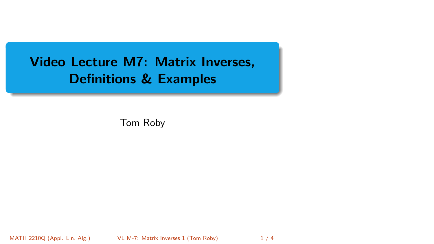<span id="page-0-0"></span>Video Lecture M7: Matrix Inverses, Definitions & Examples

Tom Roby

MATH 2210Q (Appl. Lin. Alg.) [VL M-7: Matrix Inverses 1](#page-3-0) (Tom Roby) 1 / 4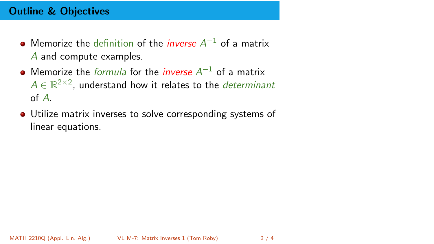# Outline & Objectives

- Memorize the definition of the *inverse*  $A^{-1}$  of a matrix A and compute examples.
- Memorize the *formula* for the *inverse*  $A^{-1}$  of a matrix  $A \in \mathbb{R}^{2 \times 2}$ , understand how it relates to the *determinant* of A.
- Utilize matrix inverses to solve corresponding systems of linear equations.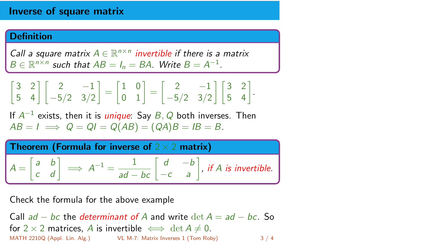## Inverse of square matrix

### **Definition**

Call a square matrix  $A \in \mathbb{R}^{n \times n}$  invertible if there is a matrix  $B \in \mathbb{R}^{n \times n}$  such that  $AB = I_n = BA$ . Write  $B = A^{-1}$ .

$$
\begin{bmatrix} 3 & 2 \\ 5 & 4 \end{bmatrix} \begin{bmatrix} 2 & -1 \\ -5/2 & 3/2 \end{bmatrix} = \begin{bmatrix} 1 & 0 \\ 0 & 1 \end{bmatrix} = \begin{bmatrix} 2 & -1 \\ -5/2 & 3/2 \end{bmatrix} \begin{bmatrix} 3 & 2 \\ 5 & 4 \end{bmatrix}.
$$

If  $A^{-1}$  exists, then it is *unique*: Say  $B, Q$  both inverses. Then  $AB = I \implies Q = QI = Q(AB) = (QA)B = IB = B.$ 

| Theorem (Formula for inverse of $2 \times 2$ matrix) |  |                                                                                                                                                             |
|------------------------------------------------------|--|-------------------------------------------------------------------------------------------------------------------------------------------------------------|
|                                                      |  | $A = \begin{bmatrix} a & b \\ c & d \end{bmatrix} \implies A^{-1} = \frac{1}{ad - bc} \begin{bmatrix} d & -b \\ -c & a \end{bmatrix}$ , if A is invertible. |

Check the formula for the above example

Call  $ad - bc$  the *determinant of A* and write  $\det A = ad - bc$ . So for 2 × 2 matrices, A is invertible  $\iff$  det  $A \neq 0$ . MATH 2210Q (Appl. Lin. Alg.) [VL M-7: Matrix Inverses 1](#page-0-0) (Tom Roby) 3 / 4